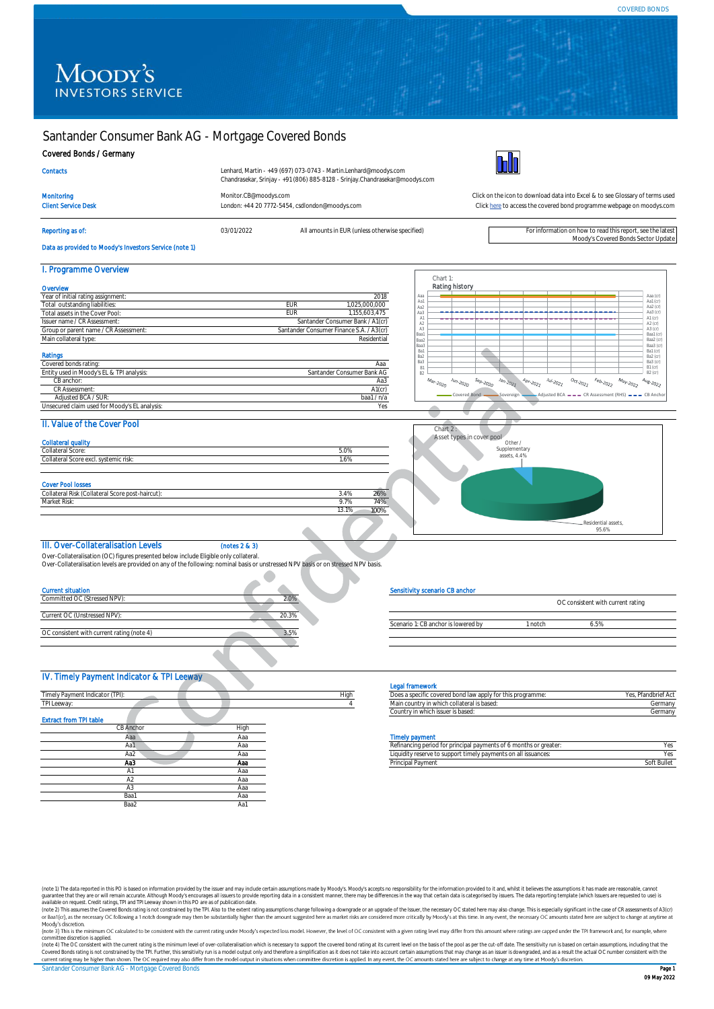Moody's Covered Bonds Sector Update

Aaa (cr)<br>
Aa2 (cr)<br>
Aa3 (cr)<br>
A1 (cr)<br>
A2 (cr)<br>
A3 (cr)<br>
Baa2 (cr)<br>
Baa3 (cr)<br>
Baa3 (cr)

Ba2 (cr) Ba3 (cr) B1 (cr)

# MOODY'S<br>INVESTORS SERVICE

# Santander Consumer Bank AG - Mortgage Covered Bonds

#### Covered Bonds / Germany

I. Programme Overview

Total outstanding liabiliti Total assets in the Cover Po Issuer name / CR Assessment: Group or parent name / CR Assessr Main collateral type: Ratings

 CB anchor: CR Assessment:

| Lenhard, Martin - +49 (697) 073-0743 - Martin.Lenhard@moodys.com<br>Chandrasekar, Srinjay - +91 (806) 885-8128 - Srinjay.Chandrasekar@moodys.com |
|--------------------------------------------------------------------------------------------------------------------------------------------------|
|                                                                                                                                                  |



Monitoring [Monitor.CB@moodys.com](mailto:Monitor.CB@moodys.com) Monitor.CB@moodys.com Click on the icon to download data into Excel & to see Glossary of terms used<br>Click here to access the covered bond programme webpage on moodys.com Click here to acces London: +44 20 7772-5454, csdlondon@moodys.com Reporting as of: example and this report, see the latest of the COMEX CONDITION CO22 All amounts in EUR (unless otherwise specified) For information on how to read this report, see the latest [Click here](https://www.moodys.com/credit-ratings/Santander-Consumer-Bank-AG--Mortgage-Covered-Bonds-credit-rating-730620131) to access the covered bond programme webpage on moodys.com

**Overview** 

**Contacts** 

Data as provided to Moody's Investors Service (note 1)

Chart 1: Rating history Year of initial rating assignment: 2018 Aaa  $\frac{25}{1000,000}$ Aa1 Aa2 Aa3 A1 A2 A3 EUR 1,155,603,475 Santander Consumer Bank / A1(cr) Santander Consumer Finance S.A. / A3(cr) Baa1 tial Baa2 Baa3 Ba1 Ba2 Ba3 B1 B2 Covered bonds rating: Aaa  $\frac{1}{\mathsf{nk}}$  AG  $\frac{1}{200}$  $s_{e_{D-2020}}$ Aa3  $J_{\partial \eta_2}$ <sub>2021</sub>  $2020$ A1(cr) Adjusted BCA / SUR: baa1 / n/a Unsecured claim used for Moody's EL analysis: Yes

## II. Value of the Cover Pool

Lused in Moody's EL & TPI and

| value of the oover fool                          |               |
|--------------------------------------------------|---------------|
| <b>Collateral quality</b>                        |               |
| Collateral Score:                                | 5.0%          |
| Collateral Score excl. systemic risk:            | 1.6%          |
|                                                  |               |
| <b>Cover Pool losses</b>                         |               |
| Collateral Risk (Collateral Score post-haircut): | 26%<br>3.4%   |
| Market Risk:                                     | 74%<br>9.7%   |
|                                                  | 13.1%<br>100% |



# III. Over-Collateralisation Levels (notes 2 & 3)

Over-Collateralisation (OC) figures presented below include Eligible only collateral. Over-Collateralisation levels are provided on any of the following: nominal basis or unstressed NPV basis or on stressed NPV basis.

| <b>Current situation</b>                   |       |
|--------------------------------------------|-------|
| Committed OC (Stressed NPV):               |       |
| Current OC (Unstressed NPV):               | 20.3% |
| OC consistent with current rating (note 4) | 3.5%  |
|                                            |       |

#### Sensitivity scenario CB anchor

|                                     |       | OC consistent with current rating |  |
|-------------------------------------|-------|-----------------------------------|--|
| Scenario 1: CB anchor is lowered by | notch |                                   |  |
|                                     |       |                                   |  |

#### IV. Timely Payment Indicator & TPI Leeway

|                                 |      |      | <b>Legal framework</b>                                            |                    |
|---------------------------------|------|------|-------------------------------------------------------------------|--------------------|
| Timely Payment Indicator (TPI): |      | High | Does a specific covered bond law apply for this programme:        | Yes, Pfandbrief Ac |
| TPI Leeway:                     |      |      | Main country in which collateral is based:                        | Germany            |
|                                 |      |      | Country in which issuer is based:                                 | Germany            |
| <b>Extract from TPI table</b>   |      |      |                                                                   |                    |
| CB Anchor                       | High |      |                                                                   |                    |
| Aaa                             | Ааа  |      | <b>Timely payment</b>                                             |                    |
| Aa1                             | Ааа  |      | Refinancing period for principal payments of 6 months or greater: | Yes                |
| Aa2                             | Aaa  |      | Liquidity reserve to support timely payments on all issuances:    | Yes                |
| Aa3                             | Ааа  |      | Principal Payment                                                 | Soft Bullet        |
| A1                              | Aaa  |      |                                                                   |                    |
| A <sub>2</sub>                  | Ааа  |      |                                                                   |                    |
| A <sub>3</sub>                  | Ааа  |      |                                                                   |                    |
| Baa1                            | Aaa  |      |                                                                   |                    |
| Baa2                            | Aa1  |      |                                                                   |                    |
|                                 |      |      |                                                                   |                    |

#### al fram

| Does a specific covered bond law apply for this programme: | Pfandbrief Act<br>Yes |
|------------------------------------------------------------|-----------------------|
| Main country in which collateral is based:                 |                       |
| Country in which issuer is based:                          |                       |

#### **Timely payment**

| Aa3 | Aaa | lein.<br>Payment<br><b>THULIDE</b>                                         | . вине |
|-----|-----|----------------------------------------------------------------------------|--------|
| Aa2 |     | hents on all issuances.<br>iidity reserve to support timely payme<br>.iaui |        |
| Aa1 |     | s or greater<br>Refinancing period for principal payments of 6 months or   |        |

(note 1) The data reported in this PO is based on information provided by the issuer and may include certain assumptions made by Moody's Moody's accepts no responsibility for the information provided to it and, whilst it b

Santander Consumer Bank AG - Mortgage Covered Bonds **Page 1 American Consumer Bank African Page 1** committee discretion is applied.<br>(note 4) The OC consistent with the current rating is the minimum level of over-collateralisation which is necessary to support the covered bond rating at its current level on the basis of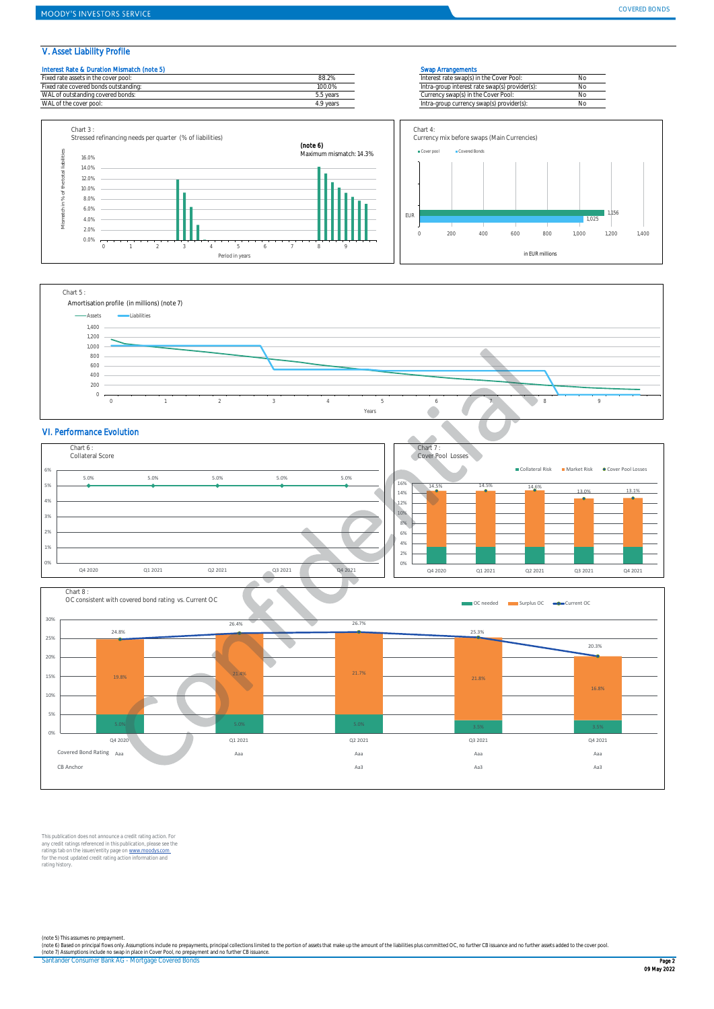#### V. Asset Liability Profile

#### Interest Rate & Duration Mismatch (note 5) Swap Arrangements









# VI. Performance Evolution





This publication does not announce a credit rating action. For<br>any credit ratings referenced in this publication, please see the<br>ratings tab on the issuer/entity page on <u>www.moodys.com</u><br>for the most updated credit rating

Santander Consumer Bank AG - Mortgage Covered Bonds Page 2 November 2008 and 2008 and 2008 and 2008 and 2008 and 2008 and 2008 and 2008 and 2008 and 2008 and 2008 and 2008 and 2008 and 2008 and 2008 and 2008 and 2008 and 2 (note 5) This assumes no prepayment.<br>(note 6) Based on principal flows only Assumptions include no prepayments, principal collections limited to the portion of assets that make up the amount of the liabilities plus committ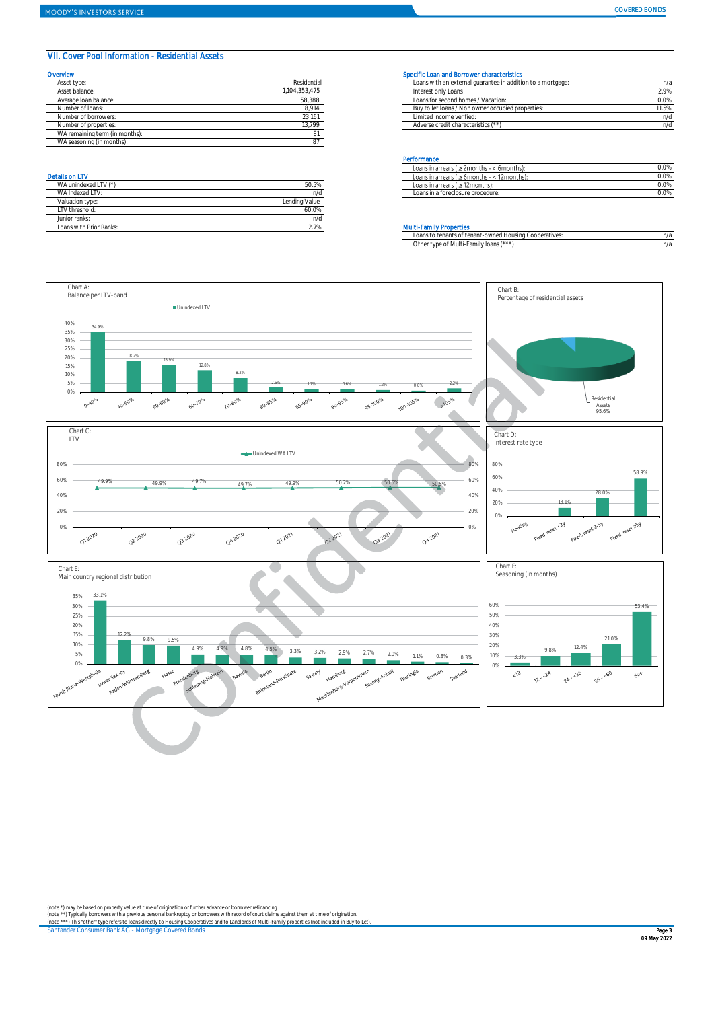### VII. Cover Pool Information - Residential Assets

| Overview                       |             | Specific Loan and Borrower characteristics                  |       |
|--------------------------------|-------------|-------------------------------------------------------------|-------|
| Asset type:                    | Residential | Loans with an external quarantee in addition to a mortgage: | n/;   |
| Asset balance:                 | 104,353,475 | Interest only Loans                                         | 2.9%  |
| Average Ioan balance:          | 58,388      | Loans for second homes / Vacation:                          | 0.0%  |
| Number of loans:               | 18,914      | Buy to let loans / Non owner occupied properties:           | 11.5% |
| Number of borrowers:           | 23,161      | Limited income verified:                                    | n/c   |
| Number of properties:          | 13.799      | Adverse credit characteristics (**)                         | n/c   |
| WA remaining term (in months): |             |                                                             |       |
| WA seasoning (in months):      |             |                                                             |       |

| WA unindexed LTV (*)    | 50.5%         |
|-------------------------|---------------|
| WA Indexed I TV:        | n/d           |
| Valuation type:         | Lending Value |
| I TV threshold:         | 60.0%         |
| Junior ranks:           | n/d           |
| Loans with Prior Ranks: | 2.7%          |

#### Specific Loan and Borrower characteristics

| Asset type            | <b>Residential</b> | -Loans with an external quarantee in addition to a mortgage: |       |
|-----------------------|--------------------|--------------------------------------------------------------|-------|
| Asset balance:        | 104,353,475        | Interest only Loans                                          | 2.9%  |
| Average Ioan balance: | 58,388             | Loans for second homes / Vacation:                           | 0.0%  |
| Number of loans:      | 18,914             | Buy to let loans / Non owner occupied properties:            | 11.5% |
| Number of borrowers:  | 23,161             | Limited income verified:                                     |       |
| Number of properties: | 13,799             | Adverse credit characteristics (**)                          |       |
|                       |                    |                                                              |       |

#### Performance

|                  |                              | ፡ 6months).<br>∟oans<br>$\rightarrow$ 2 2 months - $\sim$<br>; in arrears ( | 0.0%    |
|------------------|------------------------------|-----------------------------------------------------------------------------|---------|
| Details on LT\   |                              | 12months):<br>$\leq$ 6 months $\leq$<br>' in arrears ،<br>.oans             | $0.0\%$ |
| WA unindexed LTV | いんしょう にんしゅう しゅうしゃ<br>JU.J /6 | Loans in arrears (<br>12months)<br>. <u>.</u>                               | $0.0\%$ |
| WA Indexed LT    | n/d                          | Loans in a foreclosure procedure:                                           | $0.0\%$ |
|                  |                              |                                                                             |         |

#### **Multi-Family Properties**

|                                        | Loans to tenants of tenant-owned Housing Cooperatives: | n/a |
|----------------------------------------|--------------------------------------------------------|-----|
| Other type of Multi-Family loans (***) |                                                        | n/a |



(note \*) may be based on property value at time of origination or further advance or borrower refinancing.<br>(note \*\*) Typically borrowers with a previous personal bankruptcy or borrowers with record of court claims against

Santander Consumer Bank AG - Mortgage Covered Bonds **Page 3** Page 3 **Page 3** Page 3 Page 3 Page 3 Page 3 Page 3 Page 3 Page 3 Page 3 Page 3 Page 3 Page 3 Page 3 Page 3 Page 3 Page 3 Page 3 Page 3 Page 3 Page 3 Page 3 Page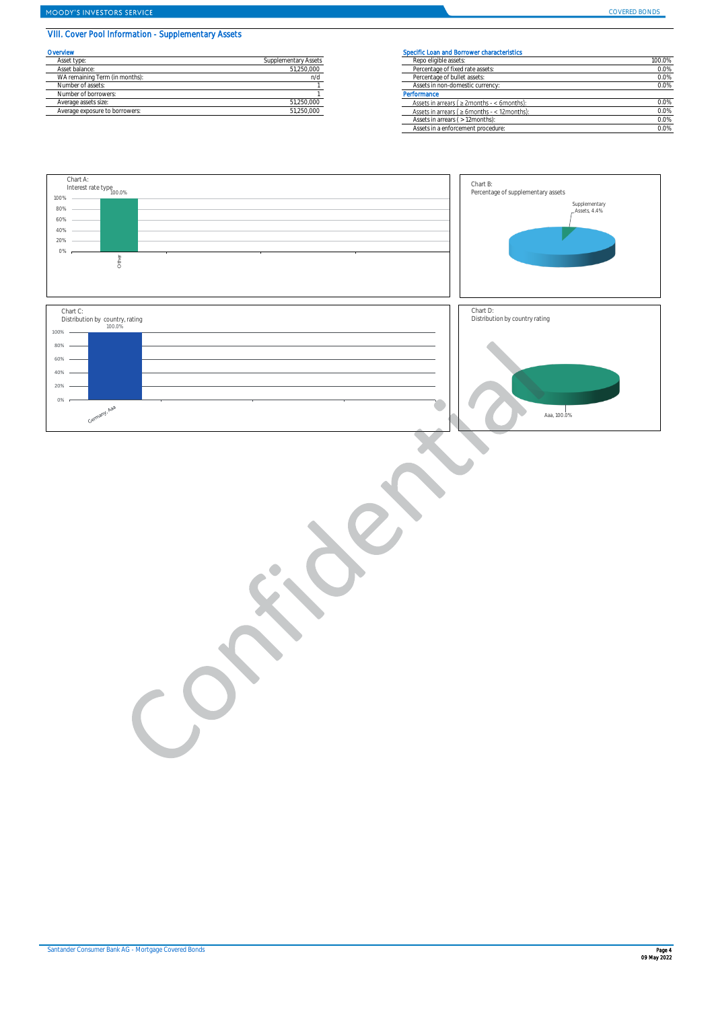# MOODY'S INVESTORS SERVICE

COVERED BONDS

# VIII. Cover Pool Information - Supplementary Assets

| Overvlew                       |                      | Specific Loan and Borrower characteristics    |
|--------------------------------|----------------------|-----------------------------------------------|
| Asset type:                    | Supplementary Assets | Repo eligible assets:                         |
| Asset balance:                 | 51.250.000           | Percentage of fixed rate assets:              |
| WA remaining Term (in months): | n/d                  | Percentage of bullet assets:                  |
| Number of assets:              |                      | Assets in non-domestic currency:              |
| Number of borrowers:           |                      | Performance                                   |
| Average assets size:           | 51.250.000           | Assets in arrears ( $\geq$ 2months - < 6month |
| Average exposure to borrowers: | 51.250.000           | Assets in arrears ( > 6months - < 12month     |

| <b>Prvlew</b>                  |                      | Specific Loan and Borrower characteristics          |         |
|--------------------------------|----------------------|-----------------------------------------------------|---------|
| Asset type:                    | Supplementary Assets | Repo eligible assets:                               | 100.0%  |
| Asset balance:                 | 51,250,000           | Percentage of fixed rate assets:                    | 0.0%    |
| WA remaining Term (in months): | n/d                  | Percentage of bullet assets:                        | $0.0\%$ |
| Number of assets:              |                      | Assets in non-domestic currency:                    | 0.0%    |
| Number of borrowers:           |                      | Performance                                         |         |
| Average assets size:           | 51,250,000           | Assets in arrears ( $\geq$ 2months - < 6months):    | 0.0%    |
| Average exposure to borrowers: | 51,250,000           | Assets in arrears ( $\geq 6$ months - < 12 months): | 0.0%    |
|                                |                      | Assets in arrears ( > 12months):                    | 0.0%    |
|                                |                      | Assets in a enforcement procedure:                  | 0.0%    |

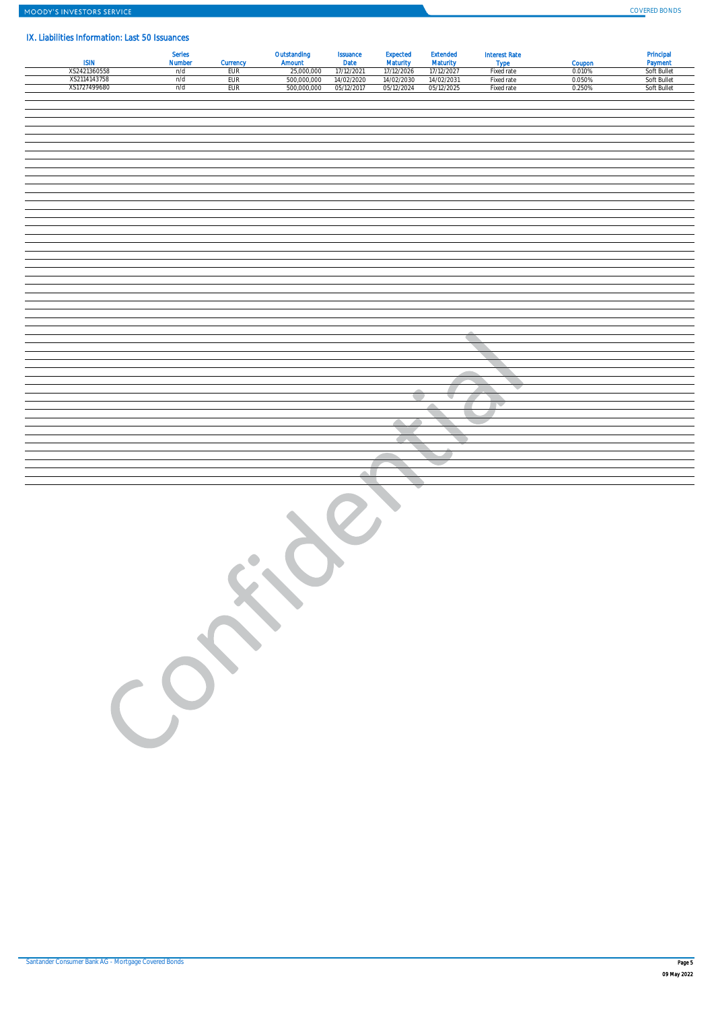## IX. Liabilities Information: Last 50 Issuances

| . <del>. .</del><br>-----<br><b>ISIN</b> | Series<br><b>Number</b> | Currency   | Outstanding<br>Amount     | Issuance<br>Date         | Expected<br>Maturity     | <b>Extended</b><br><b>Maturity</b> | <b>Interest Rate</b><br><b>Type</b> | Coupon           | Principal<br>Payment       |
|------------------------------------------|-------------------------|------------|---------------------------|--------------------------|--------------------------|------------------------------------|-------------------------------------|------------------|----------------------------|
| XS2421360558<br>XS2114143758             | u/d<br>n/d              | EUR<br>EUR | 25,000,000<br>500,000,000 | 17/12/2021<br>14/02/2020 | 17/12/2026<br>14/02/2030 | 17/12/2027<br>14/02/2031           | Fixed rate<br>Fixed rate            | 0.010%<br>0.050% | Soft Bullet<br>Soft Bullet |
| XS1727499680                             | n/d                     | EUR        | 500,000,000               | 05/12/2017               | 05/12/2024               | 05/12/2025                         | Fixed rate                          | 0.250%           | Soft Bullet                |
|                                          |                         |            |                           |                          |                          |                                    |                                     |                  |                            |
|                                          |                         |            |                           |                          |                          |                                    |                                     |                  |                            |
|                                          |                         |            |                           |                          |                          |                                    |                                     |                  |                            |
|                                          |                         |            |                           |                          |                          |                                    |                                     |                  |                            |
|                                          |                         |            |                           |                          |                          |                                    |                                     |                  |                            |
|                                          |                         |            |                           |                          |                          |                                    |                                     |                  |                            |
|                                          |                         |            |                           |                          |                          |                                    |                                     |                  |                            |
|                                          |                         |            |                           |                          |                          |                                    |                                     |                  |                            |
|                                          |                         |            |                           |                          |                          |                                    |                                     |                  |                            |
|                                          |                         |            |                           |                          |                          |                                    |                                     |                  |                            |
|                                          |                         |            |                           |                          |                          |                                    |                                     |                  |                            |
|                                          |                         |            |                           |                          |                          |                                    |                                     |                  |                            |
|                                          |                         |            |                           |                          |                          |                                    |                                     |                  |                            |
|                                          |                         |            |                           |                          |                          |                                    |                                     |                  |                            |
|                                          |                         |            |                           |                          |                          |                                    |                                     |                  |                            |
|                                          |                         |            |                           |                          |                          |                                    |                                     |                  |                            |
|                                          |                         |            |                           |                          |                          |                                    |                                     |                  |                            |
|                                          |                         |            |                           |                          |                          |                                    |                                     |                  |                            |
|                                          |                         |            |                           |                          |                          |                                    |                                     |                  |                            |
|                                          |                         |            |                           |                          |                          |                                    |                                     |                  |                            |
|                                          |                         |            |                           |                          |                          |                                    |                                     |                  |                            |
|                                          |                         |            |                           |                          |                          |                                    |                                     |                  |                            |
|                                          |                         |            |                           |                          |                          |                                    |                                     |                  |                            |
|                                          |                         |            |                           |                          |                          |                                    |                                     |                  |                            |
|                                          |                         |            |                           |                          |                          |                                    |                                     |                  |                            |
|                                          |                         |            |                           |                          |                          |                                    |                                     |                  |                            |
|                                          |                         |            |                           |                          |                          |                                    |                                     |                  |                            |
|                                          |                         |            |                           |                          |                          | z.                                 |                                     |                  |                            |
|                                          |                         |            |                           |                          |                          |                                    |                                     |                  |                            |
|                                          |                         |            |                           |                          |                          |                                    |                                     |                  |                            |
|                                          |                         |            |                           |                          |                          |                                    |                                     |                  |                            |
|                                          |                         |            |                           |                          |                          |                                    |                                     |                  |                            |
|                                          |                         |            |                           |                          |                          |                                    |                                     |                  |                            |
|                                          |                         |            |                           | Δ                        |                          |                                    |                                     |                  |                            |
|                                          |                         |            |                           |                          |                          |                                    |                                     |                  |                            |
|                                          |                         |            |                           |                          |                          |                                    |                                     |                  |                            |
|                                          | CO                      |            |                           |                          |                          |                                    |                                     |                  |                            |